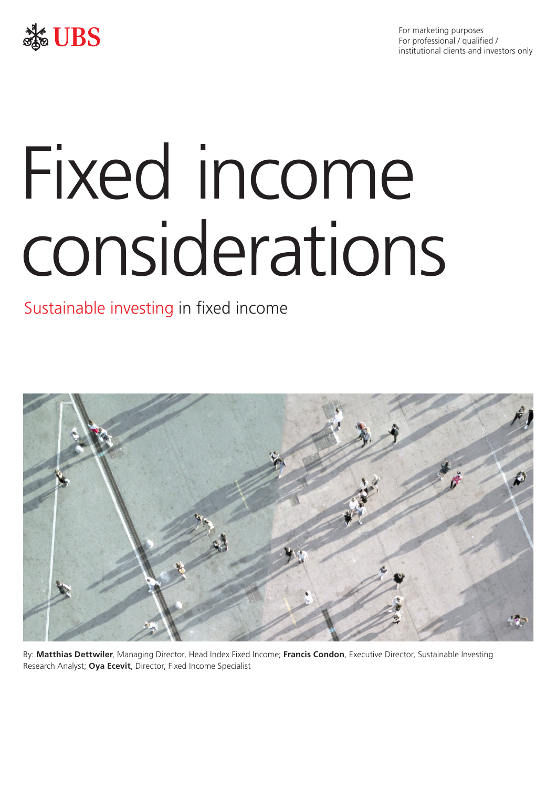



# Fixed income considerations

## Sustainable investing in fixed income



By: **Matthias Dettwiler**, Managing Director, Head Index Fixed Income; **Francis Condon**, Executive Director, Sustainable Investing Research Analyst; **Oya Ecevit**, Director, Fixed Income Specialist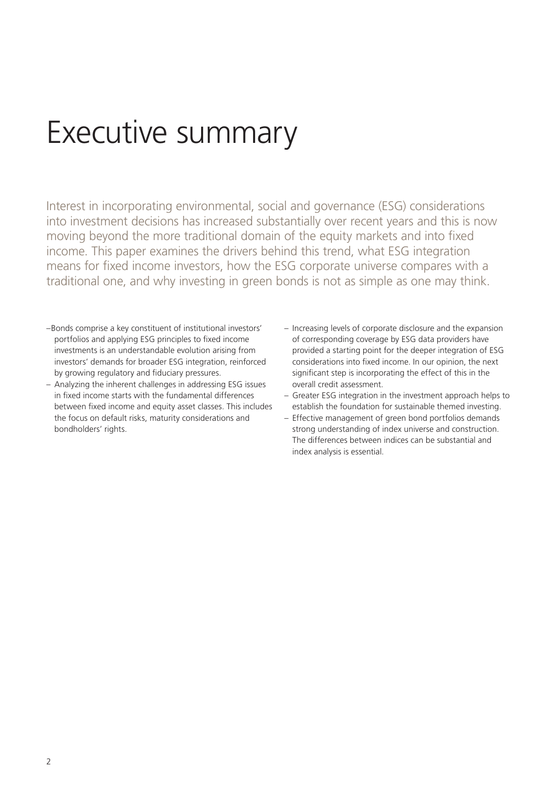# Executive summary

Interest in incorporating environmental, social and governance (ESG) considerations into investment decisions has increased substantially over recent years and this is now moving beyond the more traditional domain of the equity markets and into fixed income. This paper examines the drivers behind this trend, what ESG integration means for fixed income investors, how the ESG corporate universe compares with a traditional one, and why investing in green bonds is not as simple as one may think.

- –Bonds comprise a key constituent of institutional investors' portfolios and applying ESG principles to fixed income investments is an understandable evolution arising from investors' demands for broader ESG integration, reinforced by growing regulatory and fiduciary pressures.
- Analyzing the inherent challenges in addressing ESG issues in fixed income starts with the fundamental differences between fixed income and equity asset classes. This includes the focus on default risks, maturity considerations and bondholders' rights.
- Increasing levels of corporate disclosure and the expansion of corresponding coverage by ESG data providers have provided a starting point for the deeper integration of ESG considerations into fixed income. In our opinion, the next significant step is incorporating the effect of this in the overall credit assessment.
- Greater ESG integration in the investment approach helps to establish the foundation for sustainable themed investing.
- Effective management of green bond portfolios demands strong understanding of index universe and construction. The differences between indices can be substantial and index analysis is essential.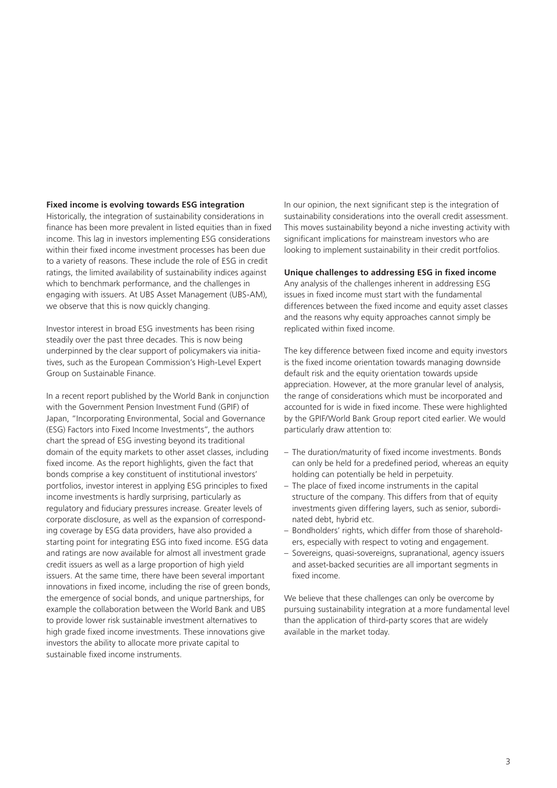### **Fixed income is evolving towards ESG integration**

Historically, the integration of sustainability considerations in finance has been more prevalent in listed equities than in fixed income. This lag in investors implementing ESG considerations within their fixed income investment processes has been due to a variety of reasons. These include the role of ESG in credit ratings, the limited availability of sustainability indices against which to benchmark performance, and the challenges in engaging with issuers. At UBS Asset Management (UBS-AM), we observe that this is now quickly changing.

Investor interest in broad ESG investments has been rising steadily over the past three decades. This is now being underpinned by the clear support of policymakers via initiatives, such as the European Commission's High-Level Expert Group on Sustainable Finance.

In a recent report published by the World Bank in conjunction with the Government Pension Investment Fund (GPIF) of Japan, "Incorporating Environmental, Social and Governance (ESG) Factors into Fixed Income Investments", the authors chart the spread of ESG investing beyond its traditional domain of the equity markets to other asset classes, including fixed income. As the report highlights, given the fact that bonds comprise a key constituent of institutional investors' portfolios, investor interest in applying ESG principles to fixed income investments is hardly surprising, particularly as regulatory and fiduciary pressures increase. Greater levels of corporate disclosure, as well as the expansion of corresponding coverage by ESG data providers, have also provided a starting point for integrating ESG into fixed income. ESG data and ratings are now available for almost all investment grade credit issuers as well as a large proportion of high yield issuers. At the same time, there have been several important innovations in fixed income, including the rise of green bonds, the emergence of social bonds, and unique partnerships, for example the collaboration between the World Bank and UBS to provide lower risk sustainable investment alternatives to high grade fixed income investments. These innovations give investors the ability to allocate more private capital to sustainable fixed income instruments.

In our opinion, the next significant step is the integration of sustainability considerations into the overall credit assessment. This moves sustainability beyond a niche investing activity with significant implications for mainstream investors who are looking to implement sustainability in their credit portfolios.

### **Unique challenges to addressing ESG in fixed income**

Any analysis of the challenges inherent in addressing ESG issues in fixed income must start with the fundamental differences between the fixed income and equity asset classes and the reasons why equity approaches cannot simply be replicated within fixed income.

The key difference between fixed income and equity investors is the fixed income orientation towards managing downside default risk and the equity orientation towards upside appreciation. However, at the more granular level of analysis, the range of considerations which must be incorporated and accounted for is wide in fixed income. These were highlighted by the GPIF/World Bank Group report cited earlier. We would particularly draw attention to:

- The duration/maturity of fixed income investments. Bonds can only be held for a predefined period, whereas an equity holding can potentially be held in perpetuity.
- The place of fixed income instruments in the capital structure of the company. This differs from that of equity investments given differing layers, such as senior, subordinated debt, hybrid etc.
- Bondholders' rights, which differ from those of shareholders, especially with respect to voting and engagement.
- Sovereigns, quasi-sovereigns, supranational, agency issuers and asset-backed securities are all important segments in fixed income.

We believe that these challenges can only be overcome by pursuing sustainability integration at a more fundamental level than the application of third-party scores that are widely available in the market today.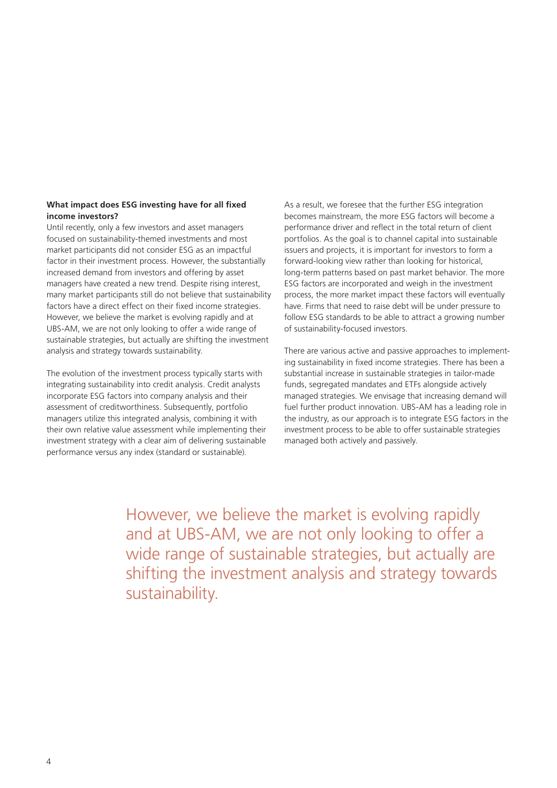### **What impact does ESG investing have for all fixed income investors?**

Until recently, only a few investors and asset managers focused on sustainability-themed investments and most market participants did not consider ESG as an impactful factor in their investment process. However, the substantially increased demand from investors and offering by asset managers have created a new trend. Despite rising interest, many market participants still do not believe that sustainability factors have a direct effect on their fixed income strategies. However, we believe the market is evolving rapidly and at UBS-AM, we are not only looking to offer a wide range of sustainable strategies, but actually are shifting the investment analysis and strategy towards sustainability.

The evolution of the investment process typically starts with integrating sustainability into credit analysis. Credit analysts incorporate ESG factors into company analysis and their assessment of creditworthiness. Subsequently, portfolio managers utilize this integrated analysis, combining it with their own relative value assessment while implementing their investment strategy with a clear aim of delivering sustainable performance versus any index (standard or sustainable).

As a result, we foresee that the further ESG integration becomes mainstream, the more ESG factors will become a performance driver and reflect in the total return of client portfolios. As the goal is to channel capital into sustainable issuers and projects, it is important for investors to form a forward-looking view rather than looking for historical, long-term patterns based on past market behavior. The more ESG factors are incorporated and weigh in the investment process, the more market impact these factors will eventually have. Firms that need to raise debt will be under pressure to follow ESG standards to be able to attract a growing number of sustainability-focused investors.

There are various active and passive approaches to implementing sustainability in fixed income strategies. There has been a substantial increase in sustainable strategies in tailor-made funds, segregated mandates and ETFs alongside actively managed strategies. We envisage that increasing demand will fuel further product innovation. UBS-AM has a leading role in the industry, as our approach is to integrate ESG factors in the investment process to be able to offer sustainable strategies managed both actively and passively.

However, we believe the market is evolving rapidly and at UBS-AM, we are not only looking to offer a wide range of sustainable strategies, but actually are shifting the investment analysis and strategy towards sustainability.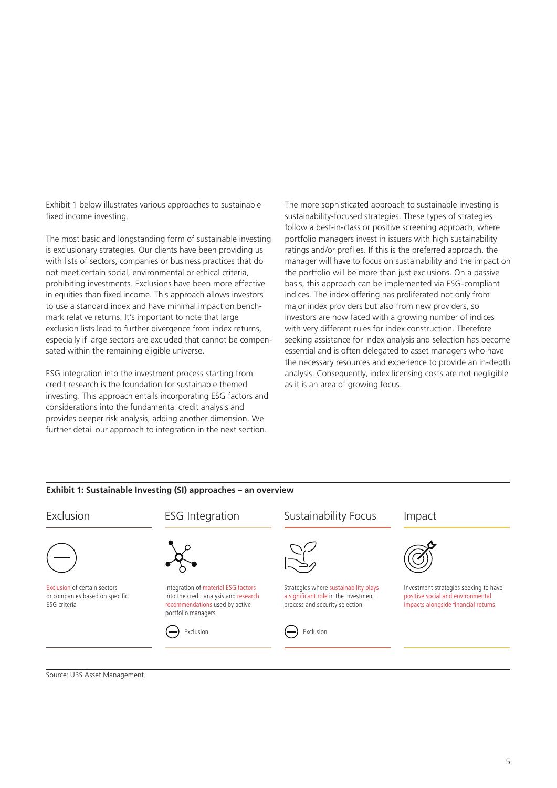Exhibit 1 below illustrates various approaches to sustainable fixed income investing.

The most basic and longstanding form of sustainable investing is exclusionary strategies. Our clients have been providing us with lists of sectors, companies or business practices that do not meet certain social, environmental or ethical criteria, prohibiting investments. Exclusions have been more effective in equities than fixed income. This approach allows investors to use a standard index and have minimal impact on benchmark relative returns. It's important to note that large exclusion lists lead to further divergence from index returns, especially if large sectors are excluded that cannot be compensated within the remaining eligible universe.

ESG integration into the investment process starting from credit research is the foundation for sustainable themed investing. This approach entails incorporating ESG factors and considerations into the fundamental credit analysis and provides deeper risk analysis, adding another dimension. We further detail our approach to integration in the next section.

The more sophisticated approach to sustainable investing is sustainability-focused strategies. These types of strategies follow a best-in-class or positive screening approach, where portfolio managers invest in issuers with high sustainability ratings and/or profiles. If this is the preferred approach. the manager will have to focus on sustainability and the impact on the portfolio will be more than just exclusions. On a passive basis, this approach can be implemented via ESG-compliant indices. The index offering has proliferated not only from major index providers but also from new providers, so investors are now faced with a growing number of indices with very different rules for index construction. Therefore seeking assistance for index analysis and selection has become essential and is often delegated to asset managers who have the necessary resources and experience to provide an in-depth analysis. Consequently, index licensing costs are not negligible as it is an area of growing focus.



### Source: UBS Asset Management.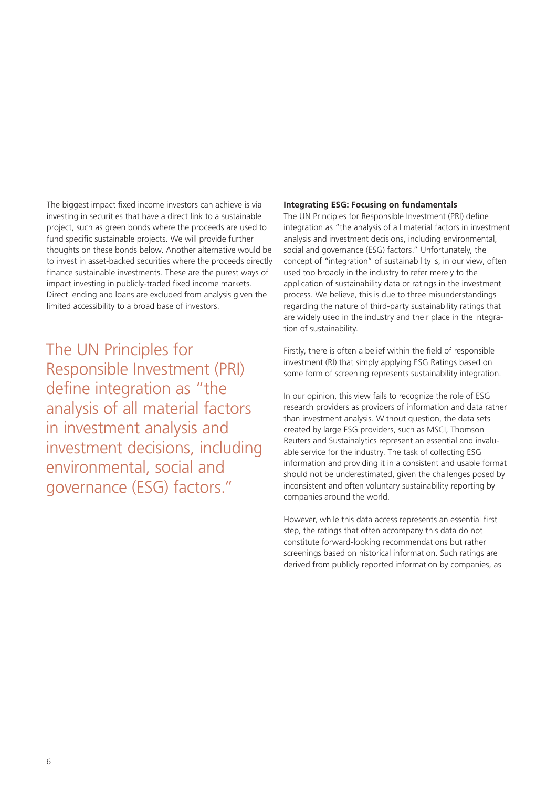The biggest impact fixed income investors can achieve is via investing in securities that have a direct link to a sustainable project, such as green bonds where the proceeds are used to fund specific sustainable projects. We will provide further thoughts on these bonds below. Another alternative would be to invest in asset-backed securities where the proceeds directly finance sustainable investments. These are the purest ways of impact investing in publicly-traded fixed income markets. Direct lending and loans are excluded from analysis given the limited accessibility to a broad base of investors.

The UN Principles for Responsible Investment (PRI) define integration as "the analysis of all material factors in investment analysis and investment decisions, including environmental, social and governance (ESG) factors."

### **Integrating ESG: Focusing on fundamentals**

The UN Principles for Responsible Investment (PRI) define integration as "the analysis of all material factors in investment analysis and investment decisions, including environmental, social and governance (ESG) factors." Unfortunately, the concept of "integration" of sustainability is, in our view, often used too broadly in the industry to refer merely to the application of sustainability data or ratings in the investment process. We believe, this is due to three misunderstandings regarding the nature of third-party sustainability ratings that are widely used in the industry and their place in the integration of sustainability.

Firstly, there is often a belief within the field of responsible investment (RI) that simply applying ESG Ratings based on some form of screening represents sustainability integration.

In our opinion, this view fails to recognize the role of ESG research providers as providers of information and data rather than investment analysis. Without question, the data sets created by large ESG providers, such as MSCI, Thomson Reuters and Sustainalytics represent an essential and invaluable service for the industry. The task of collecting ESG information and providing it in a consistent and usable format should not be underestimated, given the challenges posed by inconsistent and often voluntary sustainability reporting by companies around the world.

However, while this data access represents an essential first step, the ratings that often accompany this data do not constitute forward-looking recommendations but rather screenings based on historical information. Such ratings are derived from publicly reported information by companies, as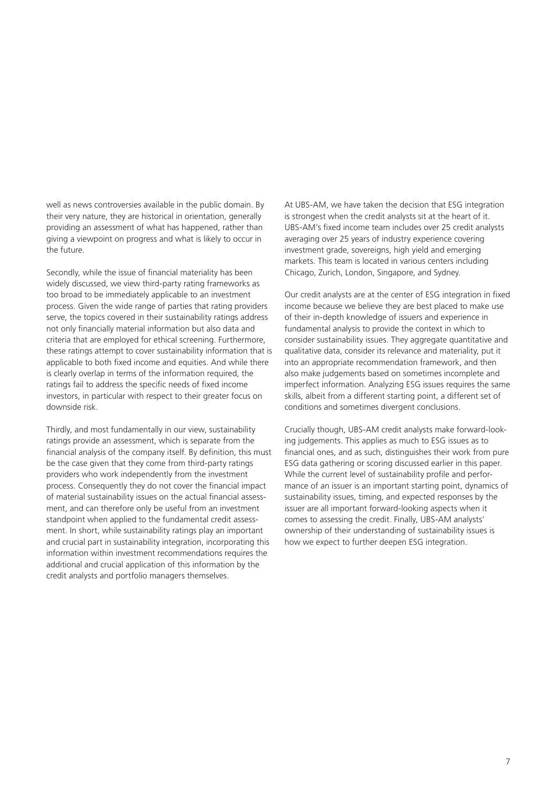well as news controversies available in the public domain. By their very nature, they are historical in orientation, generally providing an assessment of what has happened, rather than giving a viewpoint on progress and what is likely to occur in the future.

Secondly, while the issue of financial materiality has been widely discussed, we view third-party rating frameworks as too broad to be immediately applicable to an investment process. Given the wide range of parties that rating providers serve, the topics covered in their sustainability ratings address not only financially material information but also data and criteria that are employed for ethical screening. Furthermore, these ratings attempt to cover sustainability information that is applicable to both fixed income and equities. And while there is clearly overlap in terms of the information required, the ratings fail to address the specific needs of fixed income investors, in particular with respect to their greater focus on downside risk.

Thirdly, and most fundamentally in our view, sustainability ratings provide an assessment, which is separate from the financial analysis of the company itself. By definition, this must be the case given that they come from third-party ratings providers who work independently from the investment process. Consequently they do not cover the financial impact of material sustainability issues on the actual financial assessment, and can therefore only be useful from an investment standpoint when applied to the fundamental credit assessment. In short, while sustainability ratings play an important and crucial part in sustainability integration, incorporating this information within investment recommendations requires the additional and crucial application of this information by the credit analysts and portfolio managers themselves.

At UBS-AM, we have taken the decision that ESG integration is strongest when the credit analysts sit at the heart of it. UBS-AM's fixed income team includes over 25 credit analysts averaging over 25 years of industry experience covering investment grade, sovereigns, high yield and emerging markets. This team is located in various centers including Chicago, Zurich, London, Singapore, and Sydney.

Our credit analysts are at the center of ESG integration in fixed income because we believe they are best placed to make use of their in-depth knowledge of issuers and experience in fundamental analysis to provide the context in which to consider sustainability issues. They aggregate quantitative and qualitative data, consider its relevance and materiality, put it into an appropriate recommendation framework, and then also make judgements based on sometimes incomplete and imperfect information. Analyzing ESG issues requires the same skills, albeit from a different starting point, a different set of conditions and sometimes divergent conclusions.

Crucially though, UBS-AM credit analysts make forward-looking judgements. This applies as much to ESG issues as to financial ones, and as such, distinguishes their work from pure ESG data gathering or scoring discussed earlier in this paper. While the current level of sustainability profile and performance of an issuer is an important starting point, dynamics of sustainability issues, timing, and expected responses by the issuer are all important forward-looking aspects when it comes to assessing the credit. Finally, UBS-AM analysts' ownership of their understanding of sustainability issues is how we expect to further deepen ESG integration.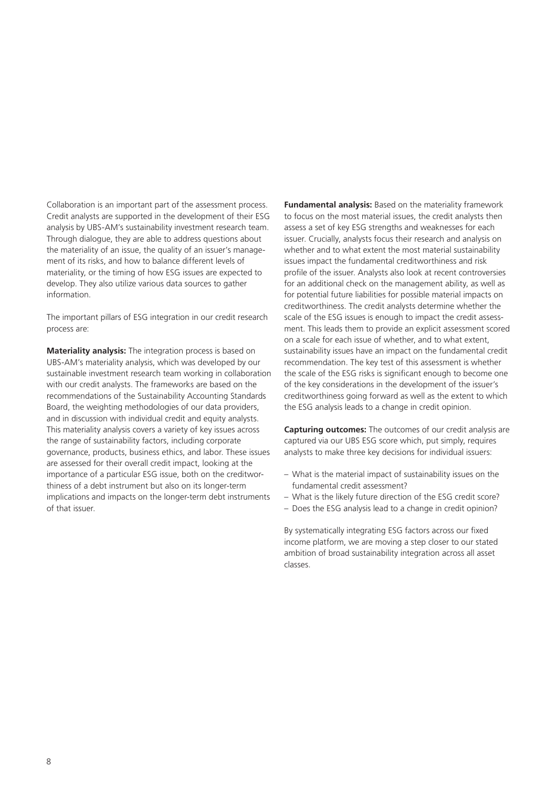Collaboration is an important part of the assessment process. Credit analysts are supported in the development of their ESG analysis by UBS-AM's sustainability investment research team. Through dialogue, they are able to address questions about the materiality of an issue, the quality of an issuer's management of its risks, and how to balance different levels of materiality, or the timing of how ESG issues are expected to develop. They also utilize various data sources to gather information.

The important pillars of ESG integration in our credit research process are:

**Materiality analysis:** The integration process is based on UBS-AM's materiality analysis, which was developed by our sustainable investment research team working in collaboration with our credit analysts. The frameworks are based on the recommendations of the Sustainability Accounting Standards Board, the weighting methodologies of our data providers, and in discussion with individual credit and equity analysts. This materiality analysis covers a variety of key issues across the range of sustainability factors, including corporate governance, products, business ethics, and labor. These issues are assessed for their overall credit impact, looking at the importance of a particular ESG issue, both on the creditworthiness of a debt instrument but also on its longer-term implications and impacts on the longer-term debt instruments of that issuer.

**Fundamental analysis:** Based on the materiality framework to focus on the most material issues, the credit analysts then assess a set of key ESG strengths and weaknesses for each issuer. Crucially, analysts focus their research and analysis on whether and to what extent the most material sustainability issues impact the fundamental creditworthiness and risk profile of the issuer. Analysts also look at recent controversies for an additional check on the management ability, as well as for potential future liabilities for possible material impacts on creditworthiness. The credit analysts determine whether the scale of the ESG issues is enough to impact the credit assessment. This leads them to provide an explicit assessment scored on a scale for each issue of whether, and to what extent, sustainability issues have an impact on the fundamental credit recommendation. The key test of this assessment is whether the scale of the ESG risks is significant enough to become one of the key considerations in the development of the issuer's creditworthiness going forward as well as the extent to which the ESG analysis leads to a change in credit opinion.

**Capturing outcomes:** The outcomes of our credit analysis are captured via our UBS ESG score which, put simply, requires analysts to make three key decisions for individual issuers:

- What is the material impact of sustainability issues on the fundamental credit assessment?
- What is the likely future direction of the ESG credit score?
- Does the ESG analysis lead to a change in credit opinion?

By systematically integrating ESG factors across our fixed income platform, we are moving a step closer to our stated ambition of broad sustainability integration across all asset classes.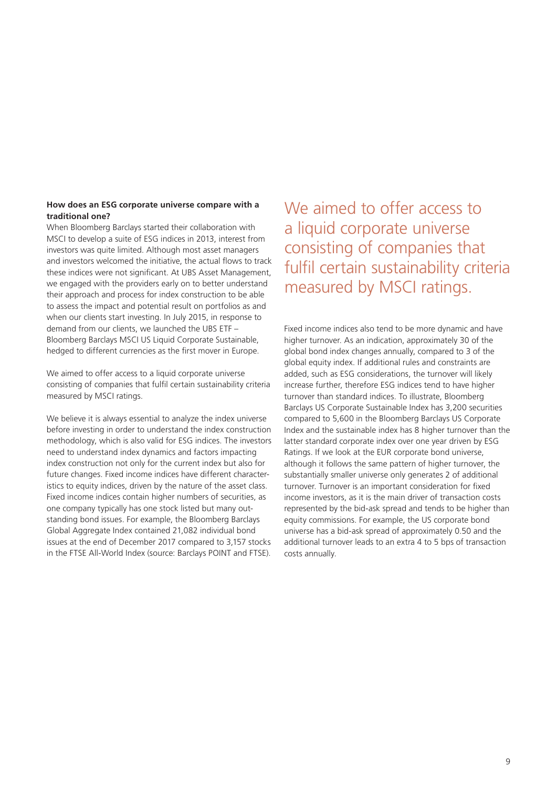### **How does an ESG corporate universe compare with a traditional one?**

When Bloomberg Barclays started their collaboration with MSCI to develop a suite of ESG indices in 2013, interest from investors was quite limited. Although most asset managers and investors welcomed the initiative, the actual flows to track these indices were not significant. At UBS Asset Management, we engaged with the providers early on to better understand their approach and process for index construction to be able to assess the impact and potential result on portfolios as and when our clients start investing. In July 2015, in response to demand from our clients, we launched the UBS ETF – Bloomberg Barclays MSCI US Liquid Corporate Sustainable, hedged to different currencies as the first mover in Europe.

We aimed to offer access to a liquid corporate universe consisting of companies that fulfil certain sustainability criteria measured by MSCI ratings.

We believe it is always essential to analyze the index universe before investing in order to understand the index construction methodology, which is also valid for ESG indices. The investors need to understand index dynamics and factors impacting index construction not only for the current index but also for future changes. Fixed income indices have different characteristics to equity indices, driven by the nature of the asset class. Fixed income indices contain higher numbers of securities, as one company typically has one stock listed but many outstanding bond issues. For example, the Bloomberg Barclays Global Aggregate Index contained 21,082 individual bond issues at the end of December 2017 compared to 3,157 stocks in the FTSE All-World Index (source: Barclays POINT and FTSE).

We aimed to offer access to a liquid corporate universe consisting of companies that fulfil certain sustainability criteria measured by MSCI ratings.

Fixed income indices also tend to be more dynamic and have higher turnover. As an indication, approximately 30 of the global bond index changes annually, compared to 3 of the global equity index. If additional rules and constraints are added, such as ESG considerations, the turnover will likely increase further, therefore ESG indices tend to have higher turnover than standard indices. To illustrate, Bloomberg Barclays US Corporate Sustainable Index has 3,200 securities compared to 5,600 in the Bloomberg Barclays US Corporate Index and the sustainable index has 8 higher turnover than the latter standard corporate index over one year driven by ESG Ratings. If we look at the EUR corporate bond universe, although it follows the same pattern of higher turnover, the substantially smaller universe only generates 2 of additional turnover. Turnover is an important consideration for fixed income investors, as it is the main driver of transaction costs represented by the bid-ask spread and tends to be higher than equity commissions. For example, the US corporate bond universe has a bid-ask spread of approximately 0.50 and the additional turnover leads to an extra 4 to 5 bps of transaction costs annually.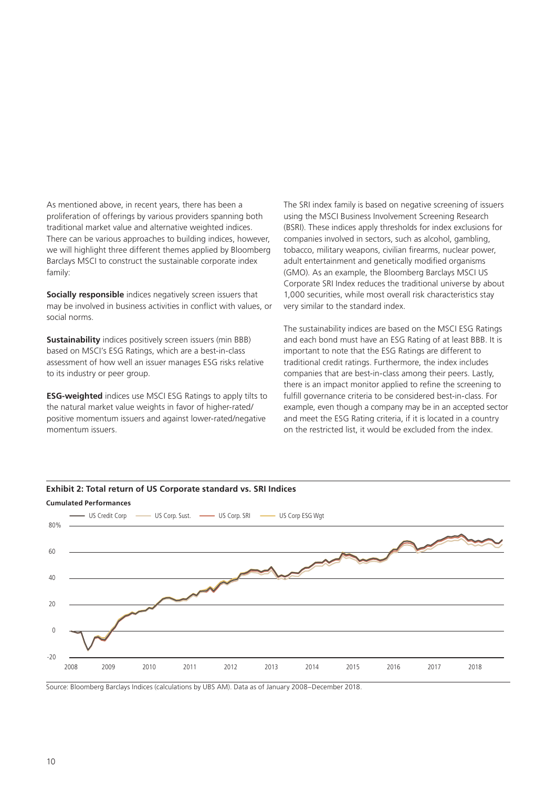As mentioned above, in recent years, there has been a proliferation of offerings by various providers spanning both traditional market value and alternative weighted indices. There can be various approaches to building indices, however, we will highlight three different themes applied by Bloomberg Barclays MSCI to construct the sustainable corporate index family:

**Socially responsible** indices negatively screen issuers that may be involved in business activities in conflict with values, or social norms.

**Sustainability** indices positively screen issuers (min BBB) based on MSCI's ESG Ratings, which are a best-in-class assessment of how well an issuer manages ESG risks relative to its industry or peer group.

**ESG-weighted** indices use MSCI ESG Ratings to apply tilts to the natural market value weights in favor of higher-rated/ positive momentum issuers and against lower-rated/negative momentum issuers.

The SRI index family is based on negative screening of issuers using the MSCI Business Involvement Screening Research (BSRI). These indices apply thresholds for index exclusions for companies involved in sectors, such as alcohol, gambling, tobacco, military weapons, civilian firearms, nuclear power, adult entertainment and genetically modified organisms (GMO). As an example, the Bloomberg Barclays MSCI US Corporate SRI Index reduces the traditional universe by about 1,000 securities, while most overall risk characteristics stay very similar to the standard index.

The sustainability indices are based on the MSCI ESG Ratings and each bond must have an ESG Rating of at least BBB. It is important to note that the ESG Ratings are different to traditional credit ratings. Furthermore, the index includes companies that are best-in-class among their peers. Lastly, there is an impact monitor applied to refine the screening to fulfill governance criteria to be considered best-in-class. For example, even though a company may be in an accepted sector and meet the ESG Rating criteria, if it is located in a country on the restricted list, it would be excluded from the index.



Source: Bloomberg Barclays Indices (calculations by UBS AM). Data as of January 2008–December 2018.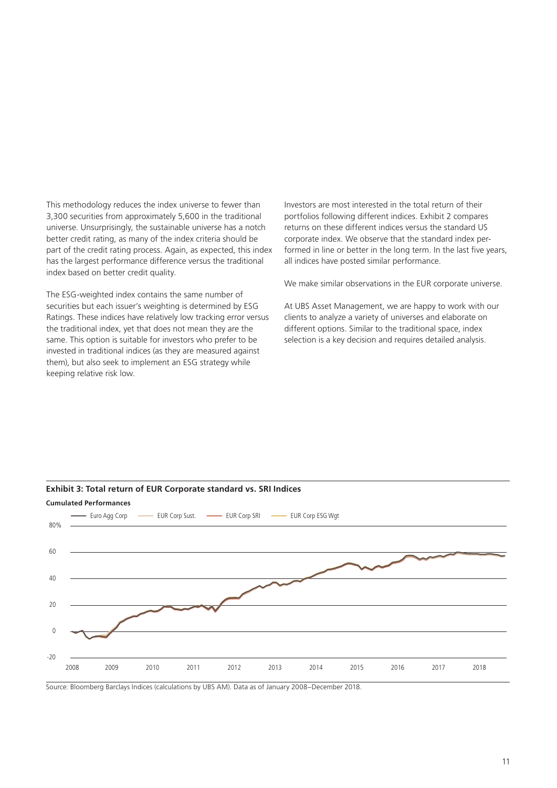This methodology reduces the index universe to fewer than 3,300 securities from approximately 5,600 in the traditional universe. Unsurprisingly, the sustainable universe has a notch better credit rating, as many of the index criteria should be part of the credit rating process. Again, as expected, this index has the largest performance difference versus the traditional index based on better credit quality.

The ESG-weighted index contains the same number of securities but each issuer's weighting is determined by ESG Ratings. These indices have relatively low tracking error versus the traditional index, yet that does not mean they are the same. This option is suitable for investors who prefer to be invested in traditional indices (as they are measured against them), but also seek to implement an ESG strategy while keeping relative risk low.

Investors are most interested in the total return of their portfolios following different indices. Exhibit 2 compares returns on these different indices versus the standard US corporate index. We observe that the standard index performed in line or better in the long term. In the last five years, all indices have posted similar performance.

We make similar observations in the EUR corporate universe.

At UBS Asset Management, we are happy to work with our clients to analyze a variety of universes and elaborate on different options. Similar to the traditional space, index selection is a key decision and requires detailed analysis.



**Exhibit 3: Total return of EUR Corporate standard vs. SRI Indices**

Source: Bloomberg Barclays Indices (calculations by UBS AM). Data as of January 2008–December 2018.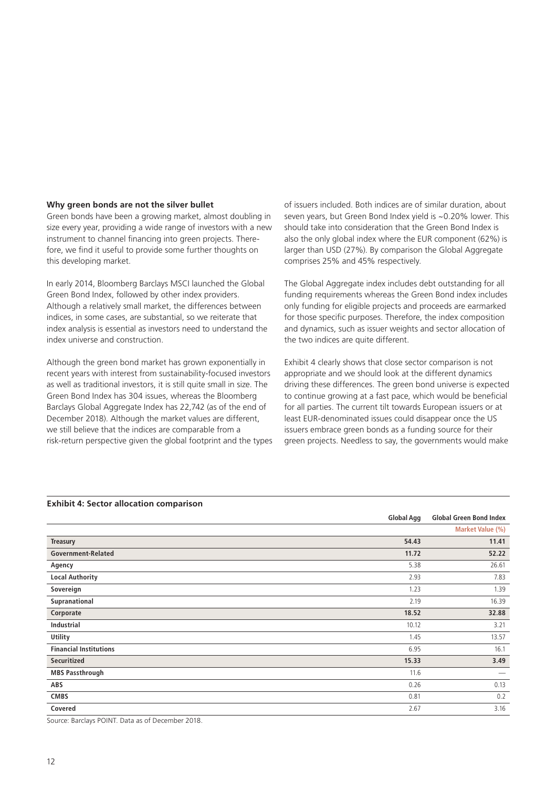### **Why green bonds are not the silver bullet**

Green bonds have been a growing market, almost doubling in size every year, providing a wide range of investors with a new instrument to channel financing into green projects. Therefore, we find it useful to provide some further thoughts on this developing market.

In early 2014, Bloomberg Barclays MSCI launched the Global Green Bond Index, followed by other index providers. Although a relatively small market, the differences between indices, in some cases, are substantial, so we reiterate that index analysis is essential as investors need to understand the index universe and construction.

Although the green bond market has grown exponentially in recent years with interest from sustainability-focused investors as well as traditional investors, it is still quite small in size. The Green Bond Index has 304 issues, whereas the Bloomberg Barclays Global Aggregate Index has 22,742 (as of the end of December 2018). Although the market values are different, we still believe that the indices are comparable from a risk-return perspective given the global footprint and the types of issuers included. Both indices are of similar duration, about seven years, but Green Bond Index yield is ~0.20% lower. This should take into consideration that the Green Bond Index is also the only global index where the EUR component (62%) is larger than USD (27%). By comparison the Global Aggregate comprises 25% and 45% respectively.

The Global Aggregate index includes debt outstanding for all funding requirements whereas the Green Bond index includes only funding for eligible projects and proceeds are earmarked for those specific purposes. Therefore, the index composition and dynamics, such as issuer weights and sector allocation of the two indices are quite different.

Exhibit 4 clearly shows that close sector comparison is not appropriate and we should look at the different dynamics driving these differences. The green bond universe is expected to continue growing at a fast pace, which would be beneficial for all parties. The current tilt towards European issuers or at least EUR-denominated issues could disappear once the US issuers embrace green bonds as a funding source for their green projects. Needless to say, the governments would make

|                               | <b>Global Agg</b> | <b>Global Green Bond Index</b> |
|-------------------------------|-------------------|--------------------------------|
|                               |                   | Market Value (%)               |
| <b>Treasury</b>               | 54.43             | 11.41                          |
| Government-Related            | 11.72             | 52.22                          |
| Agency                        | 5.38              | 26.61                          |
| <b>Local Authority</b>        | 2.93              | 7.83                           |
| Sovereign                     | 1.23              | 1.39                           |
| Supranational                 | 2.19              | 16.39                          |
| Corporate                     | 18.52             | 32.88                          |
| <b>Industrial</b>             | 10.12             | 3.21                           |
| Utility                       | 1.45              | 13.57                          |
| <b>Financial Institutions</b> | 6.95              | 16.1                           |
| Securitized                   | 15.33             | 3.49                           |
| <b>MBS Passthrough</b>        | 11.6              | $\overbrace{\phantom{12333}}$  |
| ABS                           | 0.26              | 0.13                           |
| <b>CMBS</b>                   | 0.81              | 0.2                            |
| Covered                       | 2.67              | 3.16                           |

Source: Barclays POINT. Data as of December 2018.

### **Exhibit 4: Sector allocation comparison**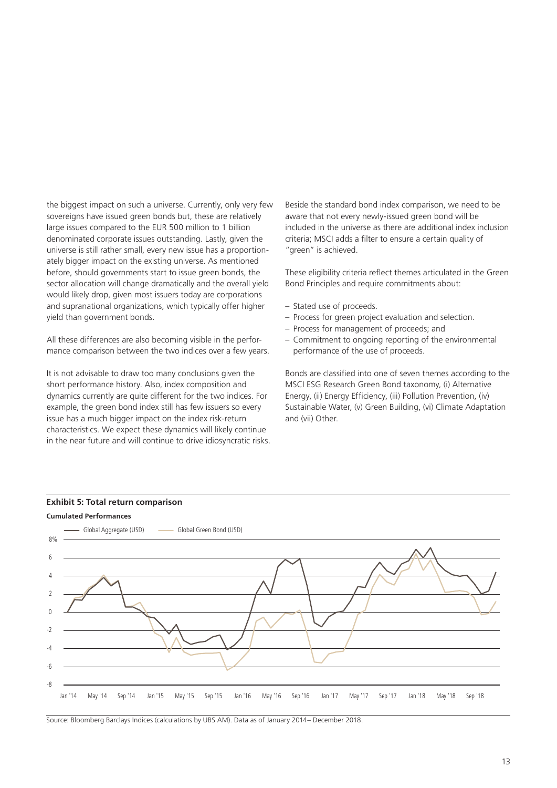the biggest impact on such a universe. Currently, only very few sovereigns have issued green bonds but, these are relatively large issues compared to the EUR 500 million to 1 billion denominated corporate issues outstanding. Lastly, given the universe is still rather small, every new issue has a proportionately bigger impact on the existing universe. As mentioned before, should governments start to issue green bonds, the sector allocation will change dramatically and the overall yield would likely drop, given most issuers today are corporations and supranational organizations, which typically offer higher yield than government bonds.

All these differences are also becoming visible in the performance comparison between the two indices over a few years.

It is not advisable to draw too many conclusions given the short performance history. Also, index composition and dynamics currently are quite different for the two indices. For example, the green bond index still has few issuers so every issue has a much bigger impact on the index risk-return characteristics. We expect these dynamics will likely continue in the near future and will continue to drive idiosyncratic risks. Beside the standard bond index comparison, we need to be aware that not every newly-issued green bond will be included in the universe as there are additional index inclusion criteria; MSCI adds a filter to ensure a certain quality of "green" is achieved.

These eligibility criteria reflect themes articulated in the Green Bond Principles and require commitments about:

- Stated use of proceeds.
- Process for green project evaluation and selection.
- Process for management of proceeds; and
- Commitment to ongoing reporting of the environmental performance of the use of proceeds.

Bonds are classified into one of seven themes according to the MSCI ESG Research Green Bond taxonomy, (i) Alternative Energy, (ii) Energy Efficiency, (iii) Pollution Prevention, (iv) Sustainable Water, (v) Green Building, (vi) Climate Adaptation and (vii) Other.





Source: Bloomberg Barclays Indices (calculations by UBS AM). Data as of January 2014– December 2018.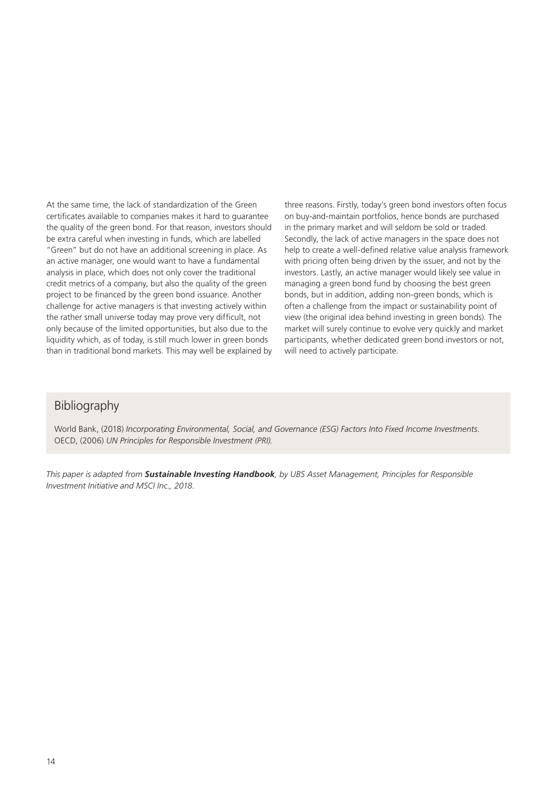At the same time, the lack of standardization of the Green certificates available to companies makes it hard to guarantee the quality of the green bond. For that reason, investors should be extra careful when investing in funds, which are labelled "Green" but do not have an additional screening in place. As an active manager, one would want to have a fundamental analysis in place, which does not only cover the traditional credit metrics of a company, but also the quality of the green project to be financed by the green bond issuance. Another challenge for active managers is that investing actively within the rather small universe today may prove very difficult, not only because of the limited opportunities, but also due to the liquidity which, as of today, is still much lower in green bonds than in traditional bond markets. This may well be explained by three reasons. Firstly, today's green bond investors often focus on buy-and-maintain portfolios, hence bonds are purchased in the primary market and will seldom be sold or traded. Secondly, the lack of active managers in the space does not help to create a well-defined relative value analysis framework with pricing often being driven by the issuer, and not by the investors. Lastly, an active manager would likely see value in managing a green bond fund by choosing the best green bonds, but in addition, adding non-green bonds, which is often a challenge from the impact or sustainability point of view (the original idea behind investing in green bonds). The market will surely continue to evolve very quickly and market participants, whether dedicated green bond investors or not, will need to actively participate.

### Bibliography

World Bank, (2018) *Incorporating Environmental, Social, and Governance (ESG) Factors Into Fixed Income Investments*. OECD, (2006) *UN Principles for Responsible Investment (PRI).*

*This paper is adapted from Sustainable Investing Handbook, by UBS Asset Management, Principles for Responsible Investment Initiative and MSCI Inc., 2018.*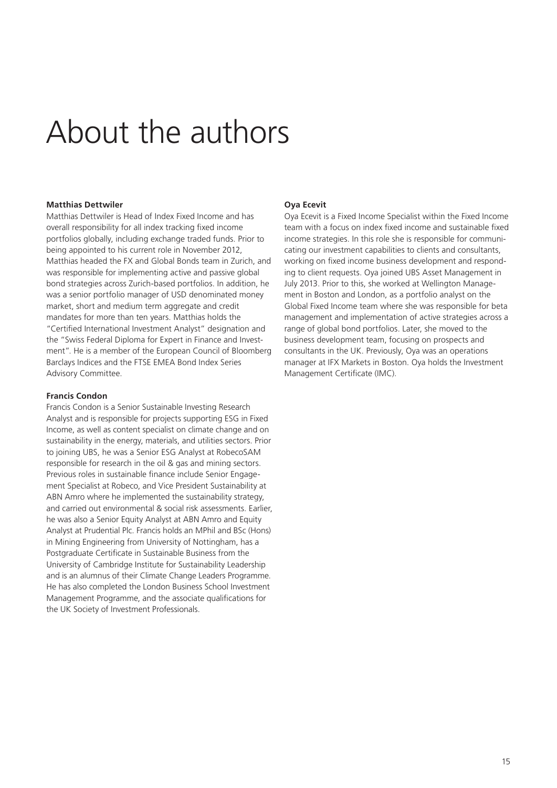# About the authors

### **Matthias Dettwiler**

Matthias Dettwiler is Head of Index Fixed Income and has overall responsibility for all index tracking fixed income portfolios globally, including exchange traded funds. Prior to being appointed to his current role in November 2012, Matthias headed the FX and Global Bonds team in Zurich, and was responsible for implementing active and passive global bond strategies across Zurich-based portfolios. In addition, he was a senior portfolio manager of USD denominated money market, short and medium term aggregate and credit mandates for more than ten years. Matthias holds the "Certified International Investment Analyst" designation and the "Swiss Federal Diploma for Expert in Finance and Investment". He is a member of the European Council of Bloomberg Barclays Indices and the FTSE EMEA Bond Index Series Advisory Committee.

### **Francis Condon**

Francis Condon is a Senior Sustainable Investing Research Analyst and is responsible for projects supporting ESG in Fixed Income, as well as content specialist on climate change and on sustainability in the energy, materials, and utilities sectors. Prior to joining UBS, he was a Senior ESG Analyst at RobecoSAM responsible for research in the oil & gas and mining sectors. Previous roles in sustainable finance include Senior Engagement Specialist at Robeco, and Vice President Sustainability at ABN Amro where he implemented the sustainability strategy, and carried out environmental & social risk assessments. Earlier, he was also a Senior Equity Analyst at ABN Amro and Equity Analyst at Prudential Plc. Francis holds an MPhil and BSc (Hons) in Mining Engineering from University of Nottingham, has a Postgraduate Certificate in Sustainable Business from the University of Cambridge Institute for Sustainability Leadership and is an alumnus of their Climate Change Leaders Programme. He has also completed the London Business School Investment Management Programme, and the associate qualifications for the UK Society of Investment Professionals.

### **Oya Ecevit**

Oya Ecevit is a Fixed Income Specialist within the Fixed Income team with a focus on index fixed income and sustainable fixed income strategies. In this role she is responsible for communicating our investment capabilities to clients and consultants, working on fixed income business development and responding to client requests. Oya joined UBS Asset Management in July 2013. Prior to this, she worked at Wellington Management in Boston and London, as a portfolio analyst on the Global Fixed Income team where she was responsible for beta management and implementation of active strategies across a range of global bond portfolios. Later, she moved to the business development team, focusing on prospects and consultants in the UK. Previously, Oya was an operations manager at IFX Markets in Boston. Oya holds the Investment Management Certificate (IMC).